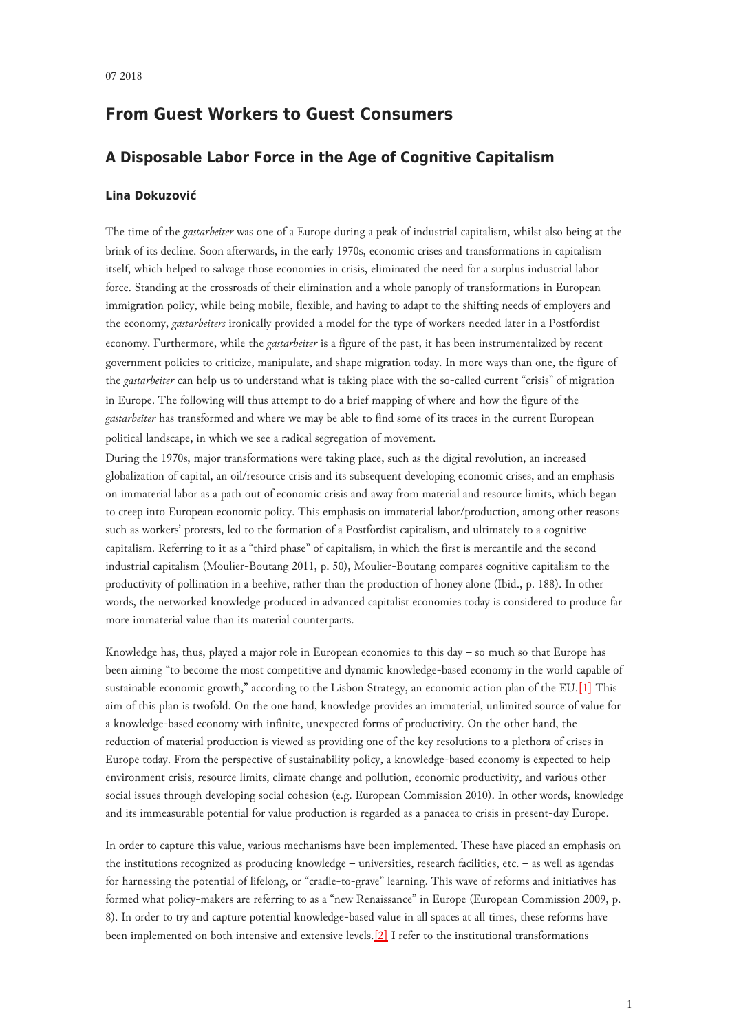# **From Guest Workers to Guest Consumers**

## **A Disposable Labor Force in the Age of Cognitive Capitalism**

#### **Lina Dokuzović**

The time of the *gastarbeiter* was one of a Europe during a peak of industrial capitalism, whilst also being at the brink of its decline. Soon afterwards, in the early 1970s, economic crises and transformations in capitalism itself, which helped to salvage those economies in crisis, eliminated the need for a surplus industrial labor force. Standing at the crossroads of their elimination and a whole panoply of transformations in European immigration policy, while being mobile, flexible, and having to adapt to the shifting needs of employers and the economy, *gastarbeiters* ironically provided a model for the type of workers needed later in a Postfordist economy. Furthermore, while the *gastarbeiter* is a figure of the past, it has been instrumentalized by recent government policies to criticize, manipulate, and shape migration today. In more ways than one, the figure of the *gastarbeiter* can help us to understand what is taking place with the so-called current "crisis" of migration in Europe. The following will thus attempt to do a brief mapping of where and how the figure of the *gastarbeiter* has transformed and where we may be able to find some of its traces in the current European political landscape, in which we see a radical segregation of movement.

During the 1970s, major transformations were taking place, such as the digital revolution, an increased globalization of capital, an oil/resource crisis and its subsequent developing economic crises, and an emphasis on immaterial labor as a path out of economic crisis and away from material and resource limits, which began to creep into European economic policy. This emphasis on immaterial labor/production, among other reasons such as workers' protests, led to the formation of a Postfordist capitalism, and ultimately to a cognitive capitalism. Referring to it as a "third phase" of capitalism, in which the first is mercantile and the second industrial capitalism (Moulier-Boutang 2011, p. 50), Moulier-Boutang compares cognitive capitalism to the productivity of pollination in a beehive, rather than the production of honey alone (Ibid., p. 188). In other words, the networked knowledge produced in advanced capitalist economies today is considered to produce far more immaterial value than its material counterparts.

<span id="page-0-0"></span>Knowledge has, thus, played a major role in European economies to this day – so much so that Europe has been aiming "to become the most competitive and dynamic knowledge-based economy in the world capable of sustainable economic growth," according to the Lisbon Strategy, an economic action plan of the EU.[\[1\]](#page-6-0) This aim of this plan is twofold. On the one hand, knowledge provides an immaterial, unlimited source of value for a knowledge-based economy with infinite, unexpected forms of productivity. On the other hand, the reduction of material production is viewed as providing one of the key resolutions to a plethora of crises in Europe today. From the perspective of sustainability policy, a knowledge-based economy is expected to help environment crisis, resource limits, climate change and pollution, economic productivity, and various other social issues through developing social cohesion (e.g. European Commission 2010). In other words, knowledge and its immeasurable potential for value production is regarded as a panacea to crisis in present-day Europe.

<span id="page-0-1"></span>In order to capture this value, various mechanisms have been implemented. These have placed an emphasis on the institutions recognized as producing knowledge – universities, research facilities, etc. – as well as agendas for harnessing the potential of lifelong, or "cradle-to-grave" learning. This wave of reforms and initiatives has formed what policy-makers are referring to as a "new Renaissance" in Europe (European Commission 2009, p. 8). In order to try and capture potential knowledge-based value in all spaces at all times, these reforms have been implemented on both intensive and extensive levels.[\[2\]](#page-6-1) I refer to the institutional transformations –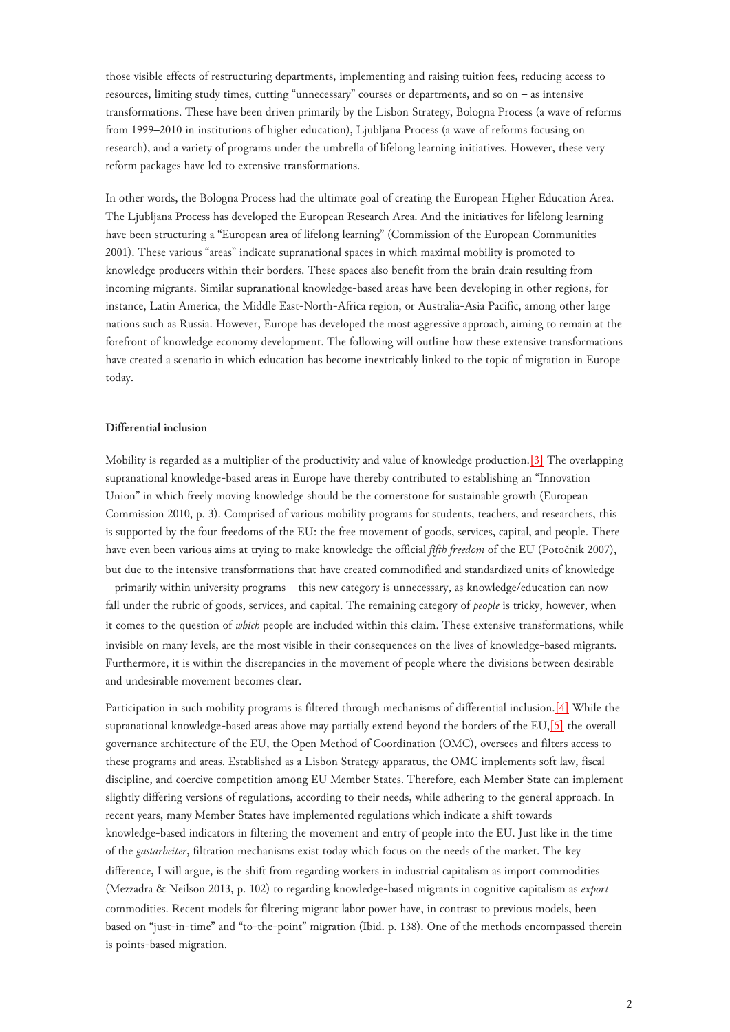those visible effects of restructuring departments, implementing and raising tuition fees, reducing access to resources, limiting study times, cutting "unnecessary" courses or departments, and so on – as intensive transformations. These have been driven primarily by the Lisbon Strategy, Bologna Process (a wave of reforms from 1999–2010 in institutions of higher education), Ljubljana Process (a wave of reforms focusing on research), and a variety of programs under the umbrella of lifelong learning initiatives. However, these very reform packages have led to extensive transformations.

In other words, the Bologna Process had the ultimate goal of creating the European Higher Education Area. The Ljubljana Process has developed the European Research Area. And the initiatives for lifelong learning have been structuring a "European area of lifelong learning" (Commission of the European Communities 2001). These various "areas" indicate supranational spaces in which maximal mobility is promoted to knowledge producers within their borders. These spaces also benefit from the brain drain resulting from incoming migrants. Similar supranational knowledge-based areas have been developing in other regions, for instance, Latin America, the Middle East-North-Africa region, or Australia-Asia Pacific, among other large nations such as Russia. However, Europe has developed the most aggressive approach, aiming to remain at the forefront of knowledge economy development. The following will outline how these extensive transformations have created a scenario in which education has become inextricably linked to the topic of migration in Europe today.

### **Differential inclusion**

<span id="page-1-0"></span>Mobility is regarded as a multiplier of the productivity and value of knowledge production.[\[3\]](#page-6-2) The overlapping supranational knowledge-based areas in Europe have thereby contributed to establishing an "Innovation Union" in which freely moving knowledge should be the cornerstone for sustainable growth (European Commission 2010, p. 3). Comprised of various mobility programs for students, teachers, and researchers, this is supported by the four freedoms of the EU: the free movement of goods, services, capital, and people. There have even been various aims at trying to make knowledge the official *fifth freedom* of the EU (Potočnik 2007), but due to the intensive transformations that have created commodified and standardized units of knowledge – primarily within university programs – this new category is unnecessary, as knowledge/education can now fall under the rubric of goods, services, and capital. The remaining category of *people* is tricky, however, when it comes to the question of *which* people are included within this claim. These extensive transformations, while invisible on many levels, are the most visible in their consequences on the lives of knowledge-based migrants. Furthermore, it is within the discrepancies in the movement of people where the divisions between desirable and undesirable movement becomes clear.

<span id="page-1-1"></span>Participation in such mobility programs is filtered through mechanisms of differential inclusion.[\[4\]](#page-6-3) While the supranational knowledge-based areas above may partially extend beyond the borders of the EU,[\[5\]](#page-6-4) the overall governance architecture of the EU, the Open Method of Coordination (OMC), oversees and filters access to these programs and areas. Established as a Lisbon Strategy apparatus, the OMC implements soft law, fiscal discipline, and coercive competition among EU Member States. Therefore, each Member State can implement slightly differing versions of regulations, according to their needs, while adhering to the general approach. In recent years, many Member States have implemented regulations which indicate a shift towards knowledge-based indicators in filtering the movement and entry of people into the EU. Just like in the time of the *gastarbeiter*, filtration mechanisms exist today which focus on the needs of the market. The key difference, I will argue, is the shift from regarding workers in industrial capitalism as import commodities (Mezzadra & Neilson 2013, p. 102) to regarding knowledge-based migrants in cognitive capitalism as *export* commodities. Recent models for filtering migrant labor power have, in contrast to previous models, been based on "just-in-time" and "to-the-point" migration (Ibid. p. 138). One of the methods encompassed therein is points-based migration.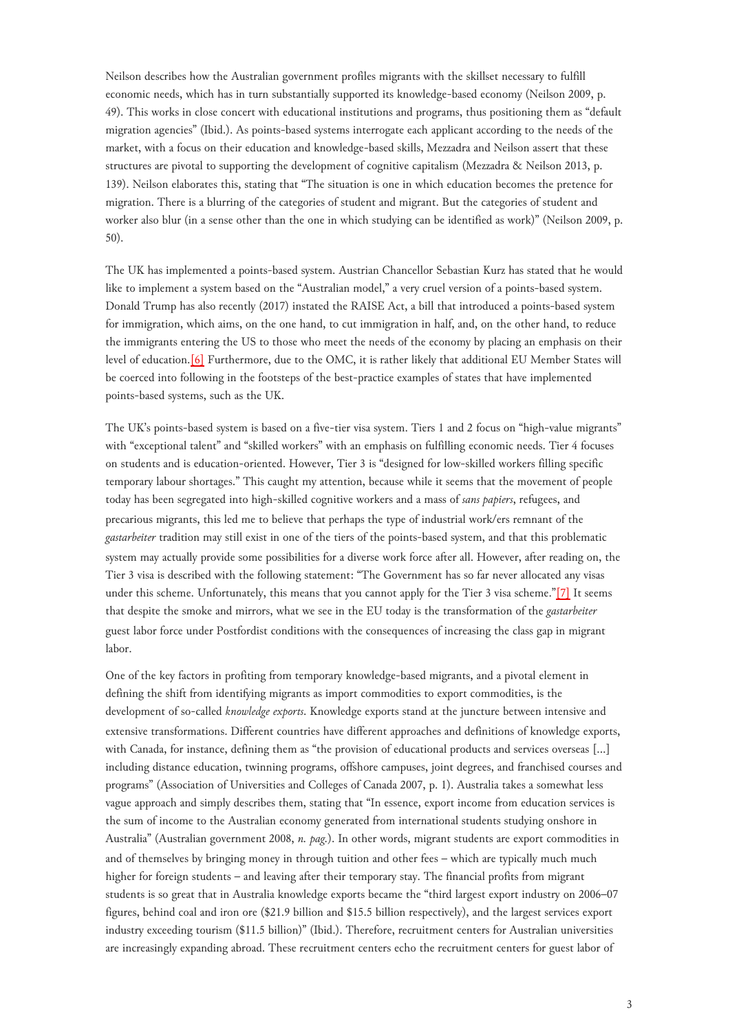Neilson describes how the Australian government profiles migrants with the skillset necessary to fulfill economic needs, which has in turn substantially supported its knowledge-based economy (Neilson 2009, p. 49). This works in close concert with educational institutions and programs, thus positioning them as "default migration agencies" (Ibid.). As points-based systems interrogate each applicant according to the needs of the market, with a focus on their education and knowledge-based skills, Mezzadra and Neilson assert that these structures are pivotal to supporting the development of cognitive capitalism (Mezzadra & Neilson 2013, p. 139). Neilson elaborates this, stating that "The situation is one in which education becomes the pretence for migration. There is a blurring of the categories of student and migrant. But the categories of student and worker also blur (in a sense other than the one in which studying can be identified as work)" (Neilson 2009, p. 50).

<span id="page-2-0"></span>The UK has implemented a points-based system. Austrian Chancellor Sebastian Kurz has stated that he would like to implement a system based on the "Australian model," a very cruel version of a points-based system. Donald Trump has also recently (2017) instated the RAISE Act, a bill that introduced a points-based system for immigration, which aims, on the one hand, to cut immigration in half, and, on the other hand, to reduce the immigrants entering the US to those who meet the needs of the economy by placing an emphasis on their level of education[.\[6\]](#page-6-5) Furthermore, due to the OMC, it is rather likely that additional EU Member States will be coerced into following in the footsteps of the best-practice examples of states that have implemented points-based systems, such as the UK.

<span id="page-2-1"></span>The UK's points-based system is based on a five-tier visa system. Tiers 1 and 2 focus on "high-value migrants" with "exceptional talent" and "skilled workers" with an emphasis on fulfilling economic needs. Tier 4 focuses on students and is education-oriented. However, Tier 3 is "designed for low-skilled workers filling specific temporary labour shortages." This caught my attention, because while it seems that the movement of people today has been segregated into high-skilled cognitive workers and a mass of *sans papiers*, refugees, and precarious migrants, this led me to believe that perhaps the type of industrial work/ers remnant of the *gastarbeiter* tradition may still exist in one of the tiers of the points-based system, and that this problematic system may actually provide some possibilities for a diverse work force after all. However, after reading on, the Tier 3 visa is described with the following statement: "The Government has so far never allocated any visas under this scheme. Unfortunately, this means that you cannot apply for the Tier 3 visa scheme."[\[7\]](#page-6-6) It seems that despite the smoke and mirrors, what we see in the EU today is the transformation of the *gastarbeiter* guest labor force under Postfordist conditions with the consequences of increasing the class gap in migrant labor.

One of the key factors in profiting from temporary knowledge-based migrants, and a pivotal element in defining the shift from identifying migrants as import commodities to export commodities, is the development of so-called *knowledge exports*. Knowledge exports stand at the juncture between intensive and extensive transformations. Different countries have different approaches and definitions of knowledge exports, with Canada, for instance, defining them as "the provision of educational products and services overseas […] including distance education, twinning programs, offshore campuses, joint degrees, and franchised courses and programs" (Association of Universities and Colleges of Canada 2007, p. 1). Australia takes a somewhat less vague approach and simply describes them, stating that "In essence, export income from education services is the sum of income to the Australian economy generated from international students studying onshore in Australia" (Australian government 2008, *n. pag.*). In other words, migrant students are export commodities in and of themselves by bringing money in through tuition and other fees – which are typically much much higher for foreign students – and leaving after their temporary stay. The financial profits from migrant students is so great that in Australia knowledge exports became the "third largest export industry on 2006–07 figures, behind coal and iron ore (\$21.9 billion and \$15.5 billion respectively), and the largest services export industry exceeding tourism (\$11.5 billion)" (Ibid.). Therefore, recruitment centers for Australian universities are increasingly expanding abroad. These recruitment centers echo the recruitment centers for guest labor of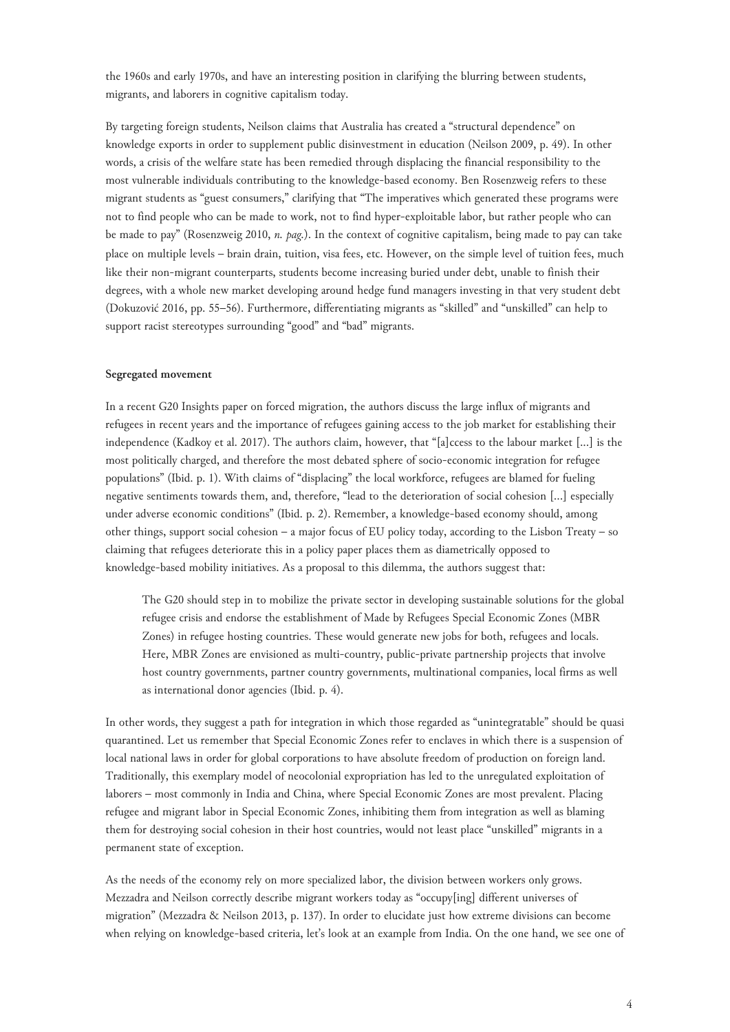the 1960s and early 1970s, and have an interesting position in clarifying the blurring between students, migrants, and laborers in cognitive capitalism today.

By targeting foreign students, Neilson claims that Australia has created a "structural dependence" on knowledge exports in order to supplement public disinvestment in education (Neilson 2009, p. 49). In other words, a crisis of the welfare state has been remedied through displacing the financial responsibility to the most vulnerable individuals contributing to the knowledge-based economy. Ben Rosenzweig refers to these migrant students as "guest consumers," clarifying that "The imperatives which generated these programs were not to find people who can be made to work, not to find hyper-exploitable labor, but rather people who can be made to pay" (Rosenzweig 2010, *n. pag.*). In the context of cognitive capitalism, being made to pay can take place on multiple levels – brain drain, tuition, visa fees, etc. However, on the simple level of tuition fees, much like their non-migrant counterparts, students become increasing buried under debt, unable to finish their degrees, with a whole new market developing around hedge fund managers investing in that very student debt (Dokuzović 2016, pp. 55–56). Furthermore, differentiating migrants as "skilled" and "unskilled" can help to support racist stereotypes surrounding "good" and "bad" migrants.

#### **Segregated movement**

In a recent G20 Insights paper on forced migration, the authors discuss the large influx of migrants and refugees in recent years and the importance of refugees gaining access to the job market for establishing their independence (Kadkoy et al. 2017). The authors claim, however, that "[a]ccess to the labour market [...] is the most politically charged, and therefore the most debated sphere of socio-economic integration for refugee populations" (Ibid. p. 1). With claims of "displacing" the local workforce, refugees are blamed for fueling negative sentiments towards them, and, therefore, "lead to the deterioration of social cohesion [...] especially under adverse economic conditions" (Ibid. p. 2). Remember, a knowledge-based economy should, among other things, support social cohesion – a major focus of EU policy today, according to the Lisbon Treaty – so claiming that refugees deteriorate this in a policy paper places them as diametrically opposed to knowledge-based mobility initiatives. As a proposal to this dilemma, the authors suggest that:

The G20 should step in to mobilize the private sector in developing sustainable solutions for the global refugee crisis and endorse the establishment of Made by Refugees Special Economic Zones (MBR Zones) in refugee hosting countries. These would generate new jobs for both, refugees and locals. Here, MBR Zones are envisioned as multi-country, public-private partnership projects that involve host country governments, partner country governments, multinational companies, local firms as well as international donor agencies (Ibid. p. 4).

In other words, they suggest a path for integration in which those regarded as "unintegratable" should be quasi quarantined. Let us remember that Special Economic Zones refer to enclaves in which there is a suspension of local national laws in order for global corporations to have absolute freedom of production on foreign land. Traditionally, this exemplary model of neocolonial expropriation has led to the unregulated exploitation of laborers – most commonly in India and China, where Special Economic Zones are most prevalent. Placing refugee and migrant labor in Special Economic Zones, inhibiting them from integration as well as blaming them for destroying social cohesion in their host countries, would not least place "unskilled" migrants in a permanent state of exception.

As the needs of the economy rely on more specialized labor, the division between workers only grows. Mezzadra and Neilson correctly describe migrant workers today as "occupy[ing] different universes of migration" (Mezzadra & Neilson 2013, p. 137). In order to elucidate just how extreme divisions can become when relying on knowledge-based criteria, let's look at an example from India. On the one hand, we see one of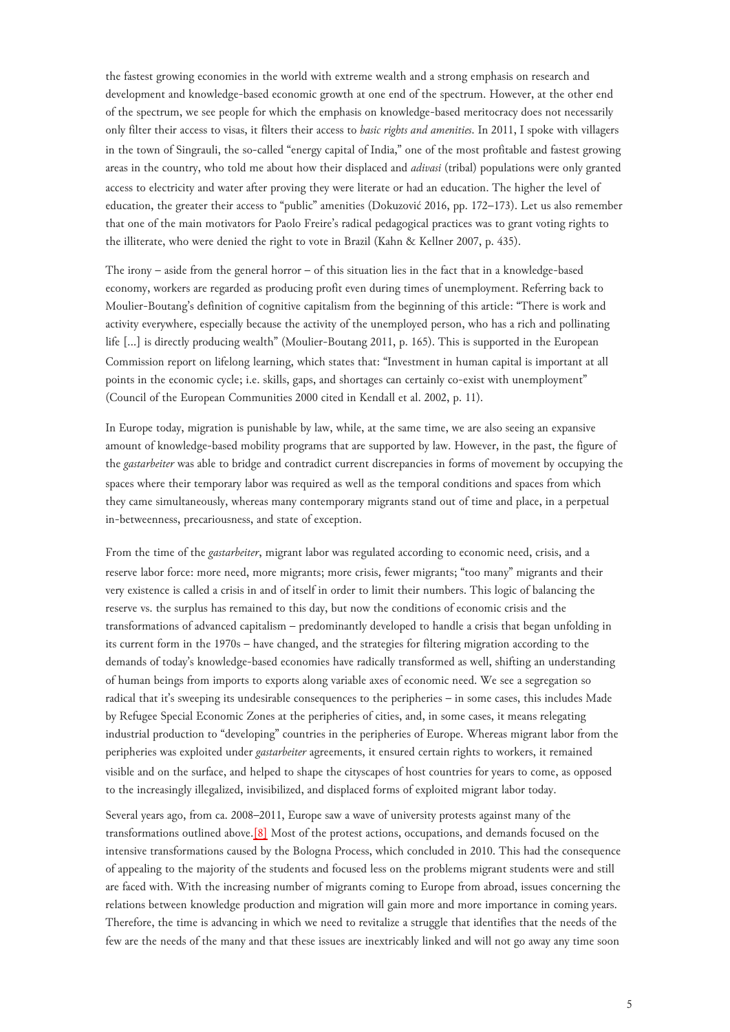the fastest growing economies in the world with extreme wealth and a strong emphasis on research and development and knowledge-based economic growth at one end of the spectrum. However, at the other end of the spectrum, we see people for which the emphasis on knowledge-based meritocracy does not necessarily only filter their access to visas, it filters their access to *basic rights and amenities*. In 2011, I spoke with villagers in the town of Singrauli, the so-called "energy capital of India," one of the most profitable and fastest growing areas in the country, who told me about how their displaced and *adivasi* (tribal) populations were only granted access to electricity and water after proving they were literate or had an education. The higher the level of education, the greater their access to "public" amenities (Dokuzović 2016, pp. 172–173). Let us also remember that one of the main motivators for Paolo Freire's radical pedagogical practices was to grant voting rights to the illiterate, who were denied the right to vote in Brazil (Kahn & Kellner 2007, p. 435).

The irony – aside from the general horror – of this situation lies in the fact that in a knowledge-based economy, workers are regarded as producing profit even during times of unemployment. Referring back to Moulier-Boutang's definition of cognitive capitalism from the beginning of this article: "There is work and activity everywhere, especially because the activity of the unemployed person, who has a rich and pollinating life […] is directly producing wealth" (Moulier-Boutang 2011, p. 165). This is supported in the European Commission report on lifelong learning, which states that: "Investment in human capital is important at all points in the economic cycle; i.e. skills, gaps, and shortages can certainly co-exist with unemployment" (Council of the European Communities 2000 cited in Kendall et al. 2002, p. 11).

In Europe today, migration is punishable by law, while, at the same time, we are also seeing an expansive amount of knowledge-based mobility programs that are supported by law. However, in the past, the figure of the *gastarbeiter* was able to bridge and contradict current discrepancies in forms of movement by occupying the spaces where their temporary labor was required as well as the temporal conditions and spaces from which they came simultaneously, whereas many contemporary migrants stand out of time and place, in a perpetual in-betweenness, precariousness, and state of exception.

From the time of the *gastarbeiter*, migrant labor was regulated according to economic need, crisis, and a reserve labor force: more need, more migrants; more crisis, fewer migrants; "too many" migrants and their very existence is called a crisis in and of itself in order to limit their numbers. This logic of balancing the reserve vs. the surplus has remained to this day, but now the conditions of economic crisis and the transformations of advanced capitalism – predominantly developed to handle a crisis that began unfolding in its current form in the 1970s – have changed, and the strategies for filtering migration according to the demands of today's knowledge-based economies have radically transformed as well, shifting an understanding of human beings from imports to exports along variable axes of economic need. We see a segregation so radical that it's sweeping its undesirable consequences to the peripheries – in some cases, this includes Made by Refugee Special Economic Zones at the peripheries of cities, and, in some cases, it means relegating industrial production to "developing" countries in the peripheries of Europe. Whereas migrant labor from the peripheries was exploited under *gastarbeiter* agreements, it ensured certain rights to workers, it remained visible and on the surface, and helped to shape the cityscapes of host countries for years to come, as opposed to the increasingly illegalized, invisibilized, and displaced forms of exploited migrant labor today.

<span id="page-4-0"></span>Several years ago, from ca. 2008–2011, Europe saw a wave of university protests against many of the transformations outlined above.[\[8\]](#page-6-7) Most of the protest actions, occupations, and demands focused on the intensive transformations caused by the Bologna Process, which concluded in 2010. This had the consequence of appealing to the majority of the students and focused less on the problems migrant students were and still are faced with. With the increasing number of migrants coming to Europe from abroad, issues concerning the relations between knowledge production and migration will gain more and more importance in coming years. Therefore, the time is advancing in which we need to revitalize a struggle that identifies that the needs of the few are the needs of the many and that these issues are inextricably linked and will not go away any time soon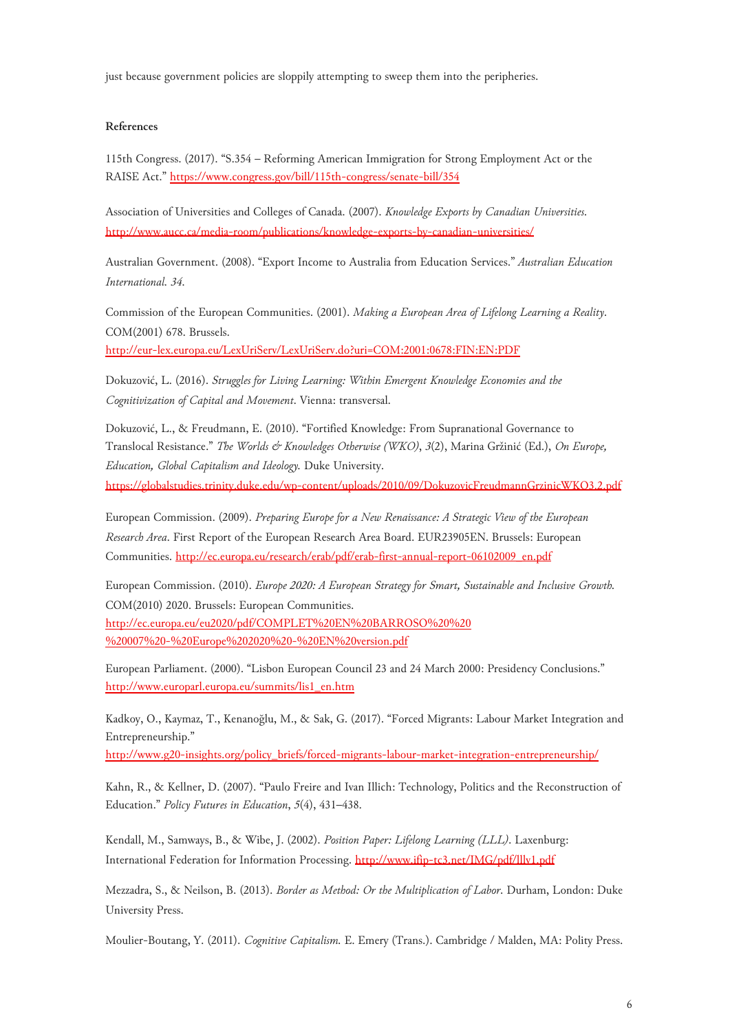just because government policies are sloppily attempting to sweep them into the peripheries.

#### **References**

115th Congress. (2017). "S.354 – Reforming American Immigration for Strong Employment Act or the RAISE Act." <https://www.congress.gov/bill/115th-congress/senate-bill/354>

Association of Universities and Colleges of Canada. (2007). *Knowledge Exports by Canadian Universities*. <http://www.aucc.ca/media-room/publications/knowledge-exports-by-canadian-universities/>

Australian Government. (2008). "Export Income to Australia from Education Services." *Australian Education International. 34*.

Commission of the European Communities. (2001). *Making a European Area of Lifelong Learning a Reality*. COM(2001) 678. Brussels.

<http://eur-lex.europa.eu/LexUriServ/LexUriServ.do?uri=COM:2001:0678:FIN:EN:PDF>

Dokuzović, L. (2016). *Struggles for Living Learning: Within Emergent Knowledge Economies and the Cognitivization of Capital and Movement*. Vienna: transversal.

Dokuzović, L., & Freudmann, E. (2010). "Fortified Knowledge: From Supranational Governance to Translocal Resistance." *The Worlds & Knowledges Otherwise (WKO)*, *3*(2), Marina Gržinić (Ed.), *On Europe, Education, Global Capitalism and Ideology.* Duke University.

<https://globalstudies.trinity.duke.edu/wp-content/uploads/2010/09/DokuzovicFreudmannGrzinicWKO3.2.pdf>

European Commission. (2009). *Preparing Europe for a New Renaissance: A Strategic View of the European Research Area*. First Report of the European Research Area Board. EUR23905EN. Brussels: European Communities. [http://ec.europa.eu/research/erab/pdf/erab-first-annual-report-06102009\\_en.pdf](http://ec.europa.eu/research/erab/pdf/erab-first-annual-report-06102009_en.pdf)

European Commission. (2010). *Europe 2020: A European Strategy for Smart, Sustainable and Inclusive Growth.* COM(2010) 2020. Brussels: European Communities. [http://ec.europa.eu/eu2020/pdf/COMPLET%20EN%20BARROSO%20%20](http://ec.europa.eu/eu2020/pdf/COMPLET%20EN%20BARROSO%20%20%20007%20-%20Europe%202020%20-%20EN%20version.pdf) [%20007%20-%20Europe%202020%20-%20EN%20version.pdf](http://ec.europa.eu/eu2020/pdf/COMPLET%20EN%20BARROSO%20%20%20007%20-%20Europe%202020%20-%20EN%20version.pdf)

European Parliament. (2000). "Lisbon European Council 23 and 24 March 2000: Presidency Conclusions." [http://www.europarl.europa.eu/summits/lis1\\_en.htm](http://www.europarl.europa.eu/summits/lis1_en.htm) 

Kadkoy, O., Kaymaz, T., Kenanoğlu, M., & Sak, G. (2017). "Forced Migrants: Labour Market Integration and Entrepreneurship."

[http://www.g20-insights.org/policy\\_briefs/forced-migrants-labour-market-integration-entrepreneurship/](http://www.g20-insights.org/policy_briefs/forced-migrants-labour-market-integration-entrepreneurship/)

Kahn, R., & Kellner, D. (2007). "Paulo Freire and Ivan Illich: Technology, Politics and the Reconstruction of Education." *Policy Futures in Education*, *5*(4), 431–438.

Kendall, M., Samways, B., & Wibe, J. (2002). *Position Paper: Lifelong Learning (LLL)*. Laxenburg: International Federation for Information Processing. <http://www.ifip-tc3.net/IMG/pdf/lllv1.pdf>

Mezzadra, S., & Neilson, B. (2013). *Border as Method: Or the Multiplication of Labor.* Durham, London: Duke University Press.

Moulier-Boutang, Y. (2011). *Cognitive Capitalism.* E. Emery (Trans.). Cambridge / Malden, MA: Polity Press.